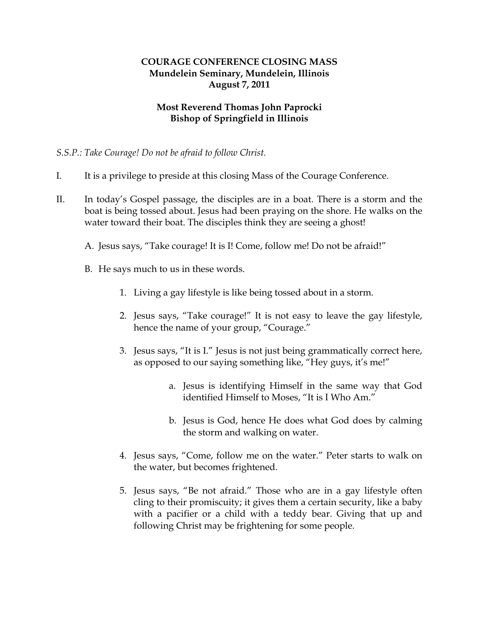## **COURAGE CONFERENCE CLOSING MASS Mundelein Seminary, Mundelein, Illinois August 7, 2011**

## **Most Reverend Thomas John Paprocki Bishop of Springfield in Illinois**

*S.S.P.: Take Courage! Do not be afraid to follow Christ.* 

- I. It is a privilege to preside at this closing Mass of the Courage Conference.
- II. In today's Gospel passage, the disciples are in a boat. There is a storm and the boat is being tossed about. Jesus had been praying on the shore. He walks on the water toward their boat. The disciples think they are seeing a ghost!
	- A. Jesus says, "Take courage! It is I! Come, follow me! Do not be afraid!"
	- B. He says much to us in these words.
		- 1. Living a gay lifestyle is like being tossed about in a storm.
		- 2. Jesus says, "Take courage!" It is not easy to leave the gay lifestyle, hence the name of your group, "Courage."
		- 3. Jesus says, "It is I." Jesus is not just being grammatically correct here, as opposed to our saying something like, "Hey guys, it's me!"
			- a. Jesus is identifying Himself in the same way that God identified Himself to Moses, "It is I Who Am."
			- b. Jesus is God, hence He does what God does by calming the storm and walking on water.
		- 4. Jesus says, "Come, follow me on the water." Peter starts to walk on the water, but becomes frightened.
		- 5. Jesus says, "Be not afraid." Those who are in a gay lifestyle often cling to their promiscuity; it gives them a certain security, like a baby with a pacifier or a child with a teddy bear. Giving that up and following Christ may be frightening for some people.